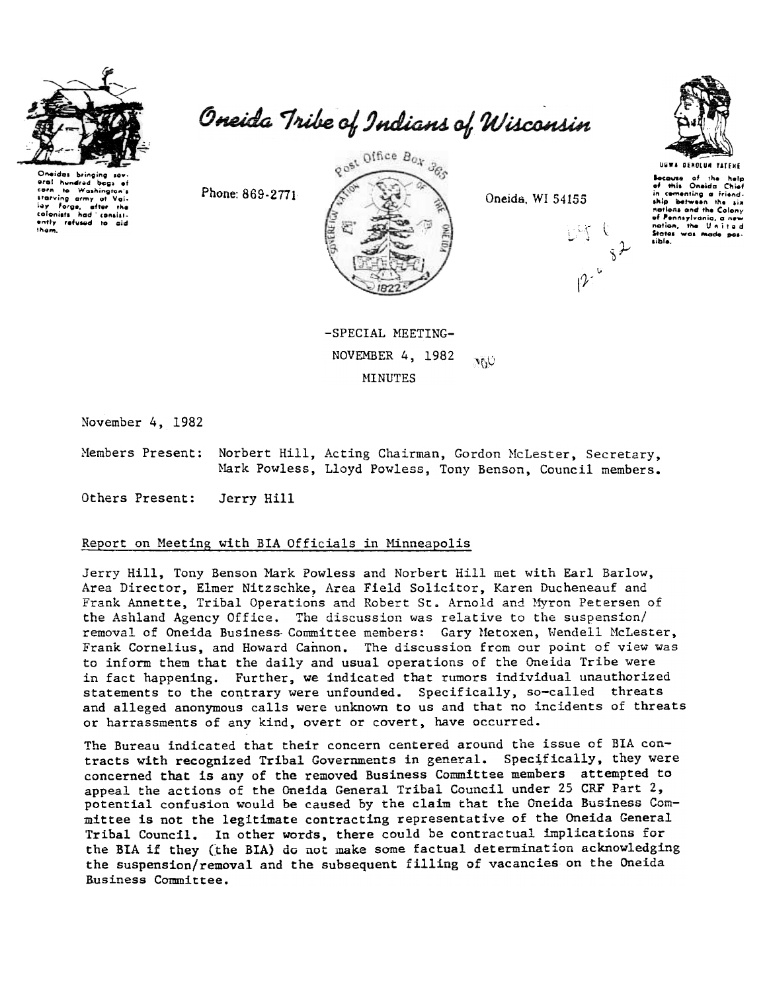

Oneida Tribe of Indians of Wisconsin

Oneidas bris hundred begs corn to true<br>starving army of Voirn<br>force, after the calanists  $hat$ colonists had consist-<br>ently refused to aid them.

gost Office Box 365

Oneida, WI 54155



UGWA DENOLUM YATENE Bocause of the help<br>of this Oneida Chief in comenting a friend. nations and the Colony of Pennsylvania, a nev nation, the United sible.

-SPECIAL MEETING-NOVEMBER 4, 1982  $\mathcal{M}(\mathcal{C})$ **MINUTES** 

November 4, 1982

Members Present: Norbert Hill, Acting Chairman, Gordon McLester, Secretary, Mark Powless, Lloyd Powless, Tony Benson, Council members.

Others Present: Jerry Hill

## Report on Meeting with BIA Officials in Minneapolis

Phone: 869-2771

Jerry Hill, Tony Benson Mark Powless and Norbert Hill met with Earl Barlow, Area Director, Elmer Nitzschke, Area Field Solicitor, Karen Ducheneauf and Frank Annette, Tribal Operations and Robert St. Arnold and Myron Petersen of the Ashland Agency Office. The discussion was relative to the suspension/ removal of Oneida Business Committee members: Gary Metoxen, Wendell McLester, Frank Cornelius, and Howard Cannon. The discussion from our point of view was to inform them that the daily and usual operations of the Oneida Tribe were in fact happening. Further, we indicated that rumors individual unauthorized statements to the contrary were unfounded. Specifically, so-called threats and alleged anonymous calls were unknown to us and that no incidents of threats or harrassments of any kind, overt or covert, have occurred.

The Bureau indicated that their concern centered around the issue of BIA contracts with recognized Tribal Governments in general. Specifically, they were concerned that is any of the removed Business Committee members attempted to appeal the actions of the Oneida General Tribal Council under 25 CRF Part 2, potential confusion would be caused by the claim that the Oneida Business Committee is not the legitimate contracting representative of the Oneida General Tribal Council. In other words, there could be contractual implications for the BIA if they (the BIA) do not make some factual determination acknowledging the suspension/removal and the subsequent filling of vacancies on the Oneida Business Committee.